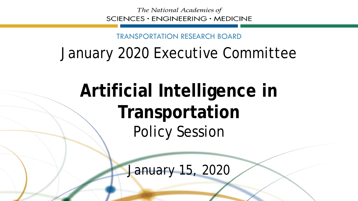The National Academies of SCIENCES · ENGINEERING · MEDICINE

TRANSPORTATION RESEARCH BOARD

#### January 2020 Executive Committee

# **Artificial Intelligence in Transportation** Policy Session

January 15, 2020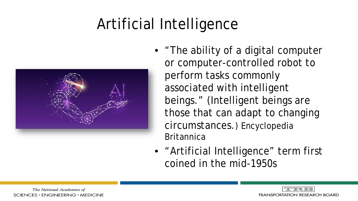## Artificial Intelligence



- "The ability of a digital computer or computer-controlled robot to perform tasks commonly associated with intelligent beings." (Intelligent beings are those that can adapt to changing circumstances.) Encyclopedia **Britannica**
- "Artificial Intelligence" term first coined in the mid-1950s

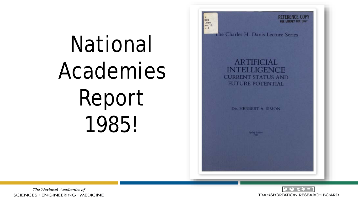# National Academies Report 1985!



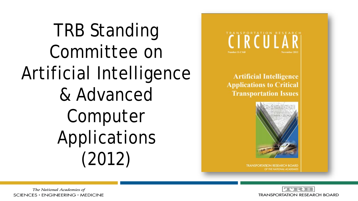TRB Standing Committee on Artificial Intelligence & Advanced Computer Applications (2012)



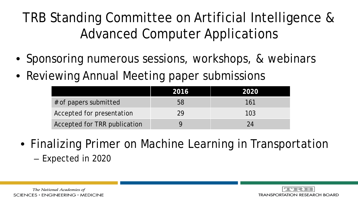TRB Standing Committee on Artificial Intelligence & Advanced Computer Applications

- Sponsoring numerous sessions, workshops, & webinars
- Reviewing Annual Meeting paper submissions

|                              | 2016 | 2020 |
|------------------------------|------|------|
| # of papers submitted        | 58   | 161  |
| Accepted for presentation    | 29   | 103  |
| Accepted for TRR publication |      | 24   |

- Finalizing Primer on Machine Learning in Transportation
	- Expected in 2020

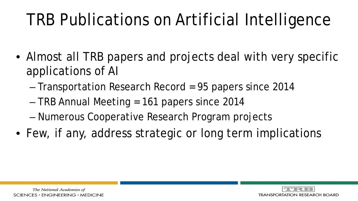# TRB Publications on Artificial Intelligence

- Almost all TRB papers and projects deal with very specific applications of AI
	- Transportation Research Record = 95 papers since 2014
	- TRB Annual Meeting = 161 papers since 2014
	- Numerous Cooperative Research Program projects
- Few, if any, address strategic or long term implications

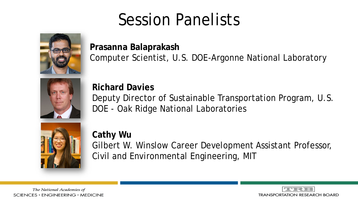### Session Panelists



**Prasanna Balaprakash** Computer Scientist, U.S. DOE-Argonne National Laboratory



**Richard Davies** Deputy Director of Sustainable Transportation Program, U.S. DOE - Oak Ridge National Laboratories



**Cathy Wu** Gilbert W. Winslow Career Development Assistant Professor, Civil and Environmental Engineering, MIT